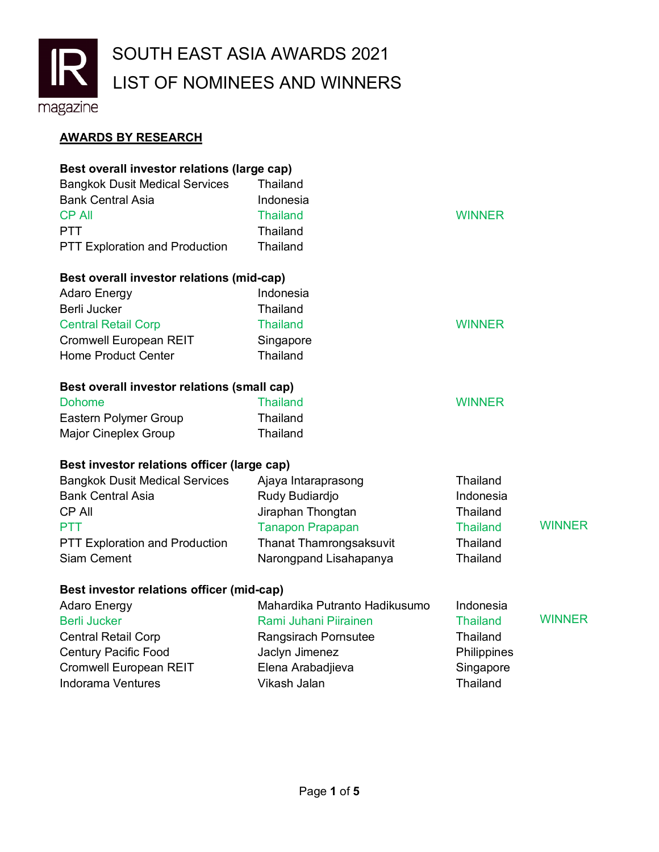

## **AWARDS BY RESEARCH**

| Best overall investor relations (large cap) |                                |                 |               |
|---------------------------------------------|--------------------------------|-----------------|---------------|
| <b>Bangkok Dusit Medical Services</b>       | <b>Thailand</b>                |                 |               |
| <b>Bank Central Asia</b>                    | Indonesia                      |                 |               |
| <b>CP All</b>                               | <b>Thailand</b>                | <b>WINNER</b>   |               |
| <b>PTT</b>                                  | <b>Thailand</b>                |                 |               |
| <b>PTT Exploration and Production</b>       | Thailand                       |                 |               |
| Best overall investor relations (mid-cap)   |                                |                 |               |
| <b>Adaro Energy</b>                         | Indonesia                      |                 |               |
| Berli Jucker                                | <b>Thailand</b>                |                 |               |
| <b>Central Retail Corp</b>                  | <b>Thailand</b>                | <b>WINNER</b>   |               |
| Cromwell European REIT                      | Singapore                      |                 |               |
| <b>Home Product Center</b>                  | Thailand                       |                 |               |
| Best overall investor relations (small cap) |                                |                 |               |
| <b>Dohome</b>                               | <b>Thailand</b>                | <b>WINNER</b>   |               |
| Eastern Polymer Group                       | Thailand                       |                 |               |
| <b>Major Cineplex Group</b>                 | <b>Thailand</b>                |                 |               |
| Best investor relations officer (large cap) |                                |                 |               |
| <b>Bangkok Dusit Medical Services</b>       | Ajaya Intaraprasong            | Thailand        |               |
| <b>Bank Central Asia</b>                    | Rudy Budiardjo                 | Indonesia       |               |
| <b>CP All</b>                               | Jiraphan Thongtan              | Thailand        |               |
| <b>PTT</b>                                  | <b>Tanapon Prapapan</b>        | <b>Thailand</b> | <b>WINNER</b> |
| PTT Exploration and Production              | <b>Thanat Thamrongsaksuvit</b> | Thailand        |               |
| <b>Siam Cement</b>                          | Narongpand Lisahapanya         | Thailand        |               |
| Best investor relations officer (mid-cap)   |                                |                 |               |
| <b>Adaro Energy</b>                         | Mahardika Putranto Hadikusumo  | Indonesia       |               |
| <b>Berli Jucker</b>                         | Rami Juhani Piirainen          | <b>Thailand</b> | <b>WINNER</b> |
| <b>Central Retail Corp</b>                  | Rangsirach Pornsutee           | Thailand        |               |
| <b>Century Pacific Food</b>                 | Jaclyn Jimenez                 | Philippines     |               |
| Cromwell European REIT                      | Elena Arabadjieva              | Singapore       |               |
| <b>Indorama Ventures</b>                    | Vikash Jalan                   | Thailand        |               |
|                                             |                                |                 |               |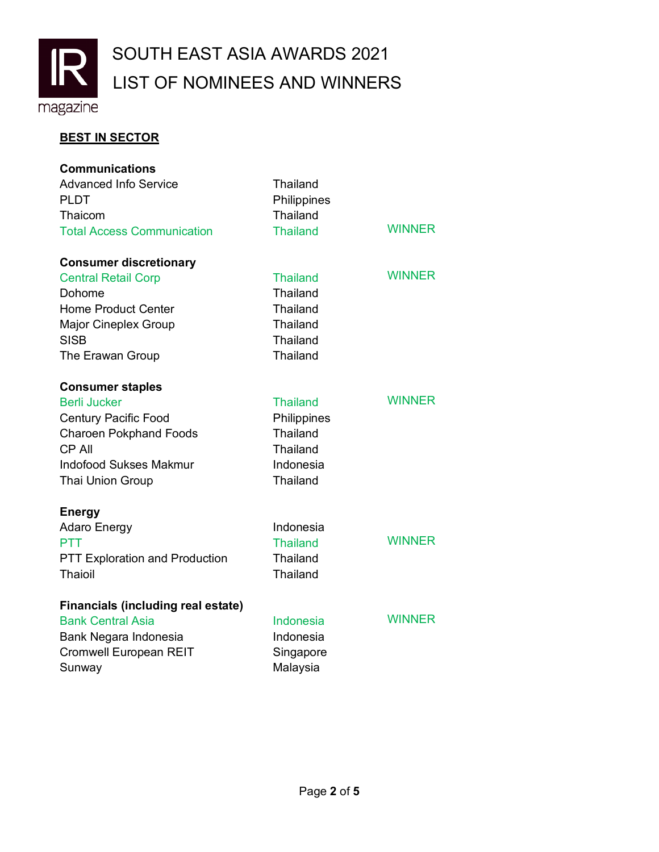

## **BEST IN SECTOR**

| <b>Communications</b>                     |                  |               |
|-------------------------------------------|------------------|---------------|
| <b>Advanced Info Service</b>              | <b>Thailand</b>  |               |
| <b>PLDT</b>                               | Philippines      |               |
| Thaicom                                   | <b>Thailand</b>  |               |
| <b>Total Access Communication</b>         | <b>Thailand</b>  | <b>WINNER</b> |
| <b>Consumer discretionary</b>             |                  |               |
| <b>Central Retail Corp</b>                | <b>Thailand</b>  | <b>WINNER</b> |
| Dohome                                    | <b>Thailand</b>  |               |
| <b>Home Product Center</b>                | <b>Thailand</b>  |               |
| <b>Major Cineplex Group</b>               | <b>Thailand</b>  |               |
| <b>SISB</b>                               | Thailand         |               |
| The Erawan Group                          | <b>Thailand</b>  |               |
| <b>Consumer staples</b>                   |                  |               |
| <b>Berli Jucker</b>                       | <b>Thailand</b>  | <b>WINNER</b> |
| <b>Century Pacific Food</b>               | Philippines      |               |
| <b>Charoen Pokphand Foods</b>             | Thailand         |               |
| <b>CP All</b>                             | <b>Thailand</b>  |               |
| <b>Indofood Sukses Makmur</b>             | Indonesia        |               |
| <b>Thai Union Group</b>                   | <b>Thailand</b>  |               |
| <b>Energy</b>                             |                  |               |
| Adaro Energy                              | Indonesia        |               |
| <b>PTT</b>                                | <b>Thailand</b>  | <b>WINNER</b> |
| <b>PTT Exploration and Production</b>     | <b>Thailand</b>  |               |
| Thaioil                                   | <b>Thailand</b>  |               |
| <b>Financials (including real estate)</b> |                  |               |
| <b>Bank Central Asia</b>                  | <b>Indonesia</b> | <b>WINNER</b> |
| Bank Negara Indonesia                     | Indonesia        |               |
| <b>Cromwell European REIT</b>             | Singapore        |               |
| Sunway                                    | Malaysia         |               |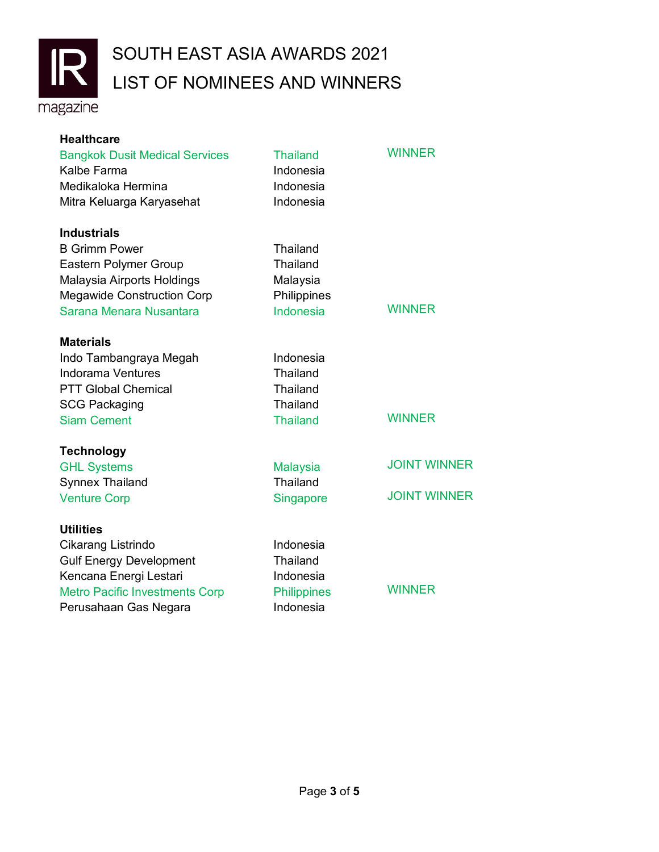

## LIST OF NOMINEES AND WINNERS SOUTH EAST ASIA AWARDS 2021

magazine

| <b>Healthcare</b><br><b>Bangkok Dusit Medical Services</b><br>Kalbe Farma<br>Medikaloka Hermina<br>Mitra Keluarga Karyasehat | <b>Thailand</b><br>Indonesia<br>Indonesia<br>Indonesia | <b>WINNER</b>       |
|------------------------------------------------------------------------------------------------------------------------------|--------------------------------------------------------|---------------------|
| <b>Industrials</b>                                                                                                           |                                                        |                     |
| <b>B Grimm Power</b>                                                                                                         | <b>Thailand</b>                                        |                     |
| <b>Eastern Polymer Group</b>                                                                                                 | Thailand                                               |                     |
| Malaysia Airports Holdings                                                                                                   | Malaysia                                               |                     |
| <b>Megawide Construction Corp</b>                                                                                            | Philippines                                            |                     |
| Sarana Menara Nusantara                                                                                                      | Indonesia                                              | <b>WINNER</b>       |
| <b>Materials</b>                                                                                                             |                                                        |                     |
| Indo Tambangraya Megah                                                                                                       | Indonesia                                              |                     |
| <b>Indorama Ventures</b>                                                                                                     | <b>Thailand</b>                                        |                     |
| <b>PTT Global Chemical</b>                                                                                                   | <b>Thailand</b>                                        |                     |
| <b>SCG Packaging</b>                                                                                                         | Thailand                                               |                     |
| <b>Siam Cement</b>                                                                                                           | <b>Thailand</b>                                        | <b>WINNER</b>       |
| <b>Technology</b>                                                                                                            |                                                        |                     |
| <b>GHL Systems</b>                                                                                                           | <b>Malaysia</b>                                        | <b>JOINT WINNER</b> |
| <b>Synnex Thailand</b>                                                                                                       | Thailand                                               |                     |
| <b>Venture Corp</b>                                                                                                          | Singapore                                              | <b>JOINT WINNER</b> |
| <b>Utilities</b>                                                                                                             |                                                        |                     |
| Cikarang Listrindo                                                                                                           | Indonesia                                              |                     |
| <b>Gulf Energy Development</b>                                                                                               | Thailand                                               |                     |
| Kencana Energi Lestari                                                                                                       | Indonesia                                              |                     |
| <b>Metro Pacific Investments Corp</b>                                                                                        | <b>Philippines</b>                                     | <b>WINNER</b>       |
| Perusahaan Gas Negara                                                                                                        | Indonesia                                              |                     |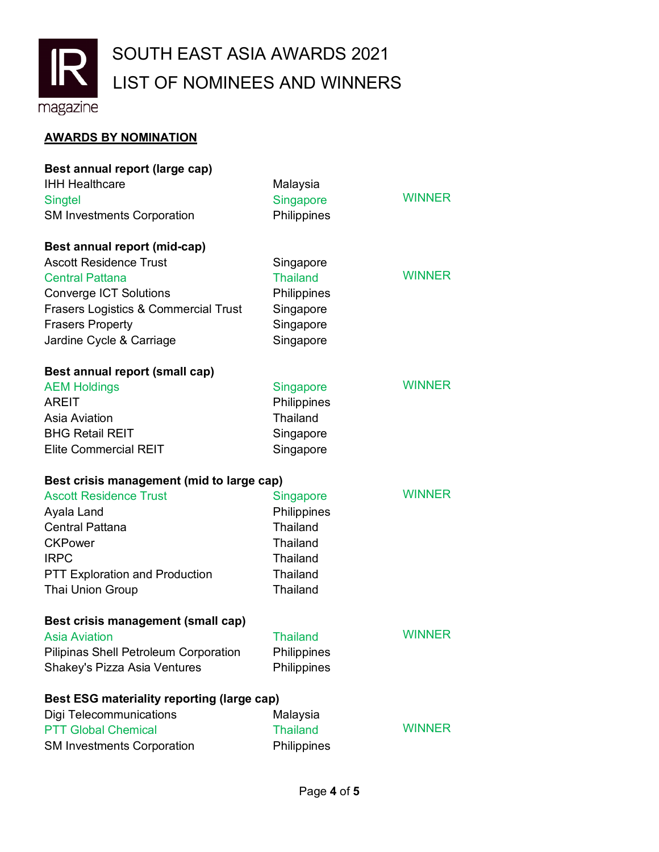

## **AWARDS BY NOMINATION**

| Best annual report (large cap)                    |                 |               |
|---------------------------------------------------|-----------------|---------------|
| <b>IHH Healthcare</b>                             | Malaysia        |               |
| <b>Singtel</b>                                    | Singapore       | <b>WINNER</b> |
| <b>SM Investments Corporation</b>                 | Philippines     |               |
| Best annual report (mid-cap)                      |                 |               |
| <b>Ascott Residence Trust</b>                     | Singapore       |               |
| <b>Central Pattana</b>                            | <b>Thailand</b> | <b>WINNER</b> |
| <b>Converge ICT Solutions</b>                     | Philippines     |               |
| <b>Frasers Logistics &amp; Commercial Trust</b>   | Singapore       |               |
| <b>Frasers Property</b>                           | Singapore       |               |
| Jardine Cycle & Carriage                          | Singapore       |               |
| Best annual report (small cap)                    |                 |               |
| <b>AEM Holdings</b>                               | Singapore       | <b>WINNER</b> |
| AREIT                                             | Philippines     |               |
| Asia Aviation                                     | <b>Thailand</b> |               |
| <b>BHG Retail REIT</b>                            | Singapore       |               |
| <b>Elite Commercial REIT</b>                      | Singapore       |               |
| Best crisis management (mid to large cap)         |                 |               |
| <b>Ascott Residence Trust</b>                     | Singapore       | <b>WINNER</b> |
| Ayala Land                                        | Philippines     |               |
| <b>Central Pattana</b>                            | <b>Thailand</b> |               |
| <b>CKPower</b>                                    | Thailand        |               |
| <b>IRPC</b>                                       | <b>Thailand</b> |               |
| <b>PTT Exploration and Production</b>             | <b>Thailand</b> |               |
| Thai Union Group                                  | Thailand        |               |
| Best crisis management (small cap)                |                 |               |
| <b>Asia Aviation</b>                              | <b>Thailand</b> | <b>WINNER</b> |
| Pilipinas Shell Petroleum Corporation             | Philippines     |               |
| Shakey's Pizza Asia Ventures                      | Philippines     |               |
| <b>Best ESG materiality reporting (large cap)</b> |                 |               |
| <b>Digi Telecommunications</b>                    | Malaysia        |               |
| <b>PTT Global Chemical</b>                        | <b>Thailand</b> | <b>WINNER</b> |
| <b>SM Investments Corporation</b>                 | Philippines     |               |
|                                                   |                 |               |